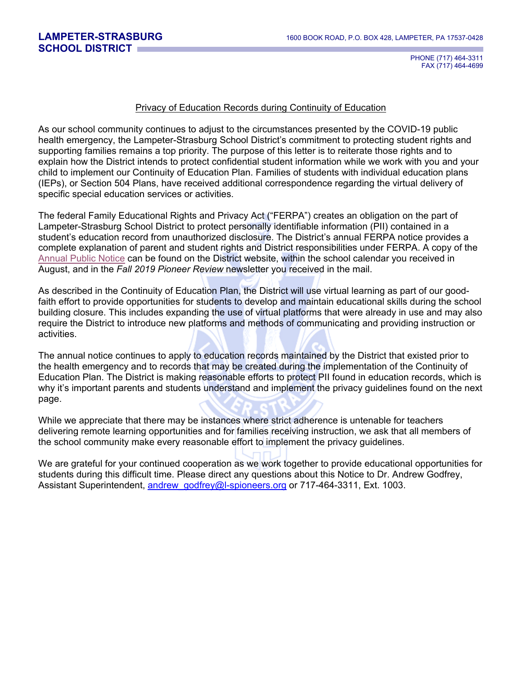PHONE (717) 464-3311 FAX (717) 464-4699

## Privacy of Education Records during Continuity of Education

As our school community continues to adjust to the circumstances presented by the COVID-19 public health emergency, the Lampeter-Strasburg School District's commitment to protecting student rights and supporting families remains a top priority. The purpose of this letter is to reiterate those rights and to explain how the District intends to protect confidential student information while we work with you and your child to implement our Continuity of Education Plan. Families of students with individual education plans (IEPs), or Section 504 Plans, have received additional correspondence regarding the virtual delivery of specific special education services or activities.

The federal Family Educational Rights and Privacy Act ("FERPA") creates an obligation on the part of Lampeter-Strasburg School District to protect personally identifiable information (PII) contained in a student's education record from unauthorized disclosure. The District's annual FERPA notice provides a complete explanation of parent and student rights and District responsibilities under FERPA. A copy of the [Annual Public Notice](https://www.l-spioneers.org/Departments/Special-Services/Annual-Public-Notice/) can be found on the District website, within the school calendar you received in August, and in the *Fall 2019 Pioneer Review* newsletter you received in the mail.

As described in the Continuity of Education Plan, the District will use virtual learning as part of our goodfaith effort to provide opportunities for students to develop and maintain educational skills during the school building closure. This includes expanding the use of virtual platforms that were already in use and may also require the District to introduce new platforms and methods of communicating and providing instruction or activities.

The annual notice continues to apply to education records maintained by the District that existed prior to the health emergency and to records that may be created during the implementation of the Continuity of Education Plan. The District is making reasonable efforts to protect PII found in education records, which is why it's important parents and students understand and implement the privacy guidelines found on the next page.

While we appreciate that there may be instances where strict adherence is untenable for teachers delivering remote learning opportunities and for families receiving instruction, we ask that all members of the school community make every reasonable effort to implement the privacy guidelines.

We are grateful for your continued cooperation as we work together to provide educational opportunities for students during this difficult time. Please direct any questions about this Notice to Dr. Andrew Godfrey, Assistant Superintendent, andrew godfrey@l-spioneers.org or 717-464-3311, Ext. 1003.